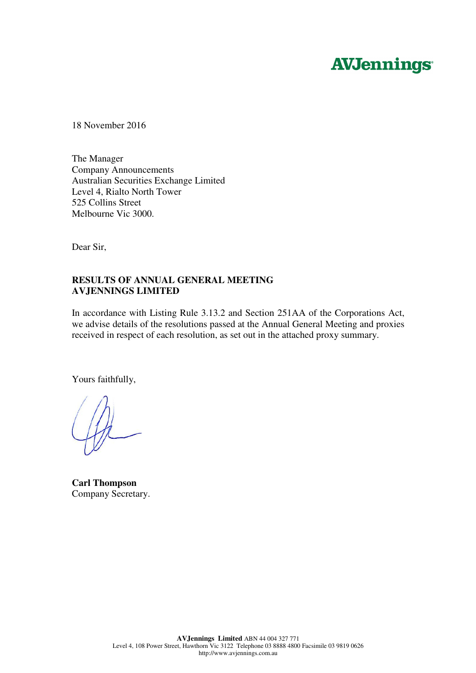# **AVJennings**

18 November 2016

The Manager Company Announcements Australian Securities Exchange Limited Level 4, Rialto North Tower 525 Collins Street Melbourne Vic 3000.

Dear Sir,

# **RESULTS OF ANNUAL GENERAL MEETING AVJENNINGS LIMITED**

In accordance with Listing Rule 3.13.2 and Section 251AA of the Corporations Act, we advise details of the resolutions passed at the Annual General Meeting and proxies received in respect of each resolution, as set out in the attached proxy summary.

Yours faithfully,

**Carl Thompson**  Company Secretary.